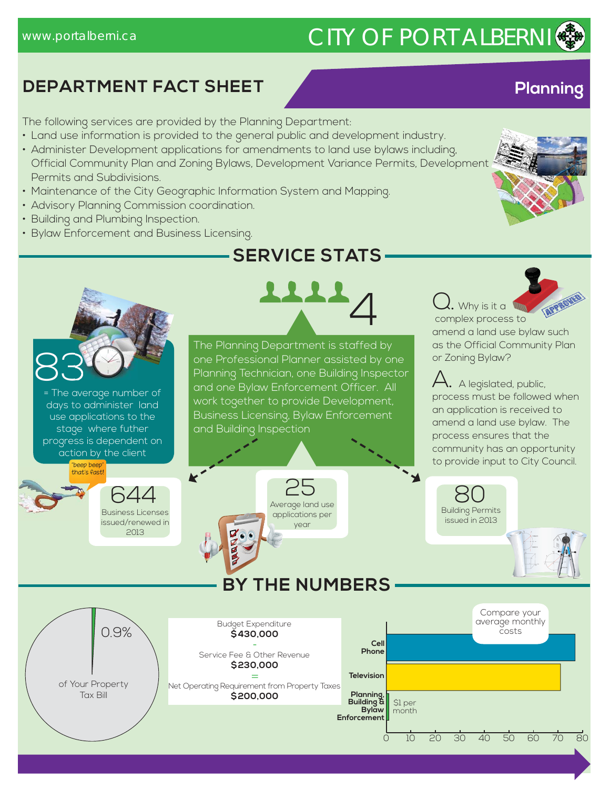# www.portalberni.ca CITY OF PORT ALBERNI

## **DEPARTMENT FACT SHEET Planning**

The following services are provided by the Planning Department:

- Land use information is provided to the general public and development industry.
- Administer Development applications for amendments to land use bylaws including, Official Community Plan and Zoning Bylaws, Development Variance Permits, Development Permits and Subdivisions.
- Maintenance of the City Geographic Information System and Mapping.
- Advisory Planning Commission coordination.
- Building and Plumbing Inspection.
- Bylaw Enforcement and Business Licensing.